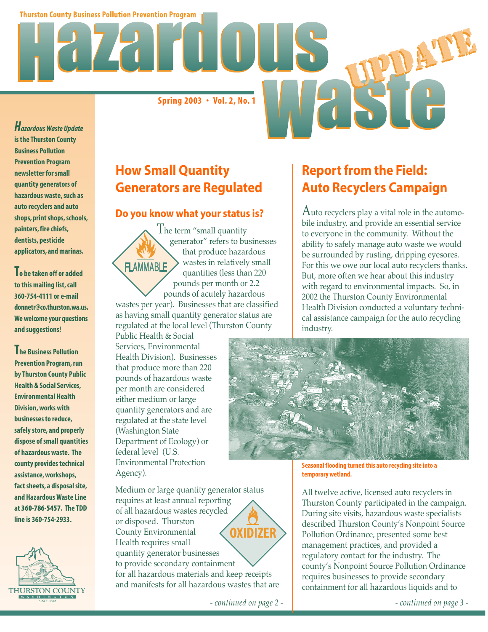**Thurston County Business Pollution Prevention Program** 

**Spring 2003 • Vol. 2, No. 1**

*Hazardous Waste Update* **is the Thurston County Business Pollution Prevention Program newsletter for small quantity generators of hazardous waste, such as auto recyclers and auto shops, print shops, schools, painters, fire chiefs, dentists, pesticide applicators, and marinas.**

**To be taken off or added to this mailing list, call 360-754-4111 or e-mail donnetr@co.thurston.wa.us. We welcome your questions and suggestions!**

**The Business Pollution Prevention Program, run by Thurston County Public Health & Social Services, Environmental Health Division, works with businesses to reduce, safely store, and properly dispose of small quantities of hazardous waste. The county provides technical assistance, workshops, fact sheets, a disposal site, and Hazardous Waste Line at 360-786-5457. The TDD line is 360-754-2933.**



# **How Small Quantity Generators are Regulated**

#### **Do you know what your status is?**

The term "small quantity generator" refers to businesses that produce hazardous wastes in relatively small **FLAMMABLE** quantities (less than 220 pounds per month or 2.2 pounds of acutely hazardous wastes per year). Businesses that are classified as having small quantity generator status are regulated at the local level (Thurston County

Public Health & Social Services, Environmental Health Division). Businesses that produce more than 220 pounds of hazardous waste per month are considered either medium or large quantity generators and are regulated at the state level (Washington State Department of Ecology) or federal level (U.S. Environmental Protection Agency).

Medium or large quantity generator status requires at least annual reporting of all hazardous wastes recycled or disposed. Thurston **OXIDIZER** County Environmental Health requires small quantity generator businesses to provide secondary containment for all hazardous materials and keep receipts and manifests for all hazardous wastes that are

#### *- continued on page 2 - - continued on page 3 -*

# **Report from the Field: Auto Recyclers Campaign**

Auto recyclers play a vital role in the automobile industry, and provide an essential service to everyone in the community. Without the ability to safely manage auto waste we would be surrounded by rusting, dripping eyesores. For this we owe our local auto recyclers thanks. But, more often we hear about this industry with regard to environmental impacts. So, in 2002 the Thurston County Environmental Health Division conducted a voluntary technical assistance campaign for the auto recycling industry.



**Seasonal flooding turned this auto recycling site into a temporary wetland.**

All twelve active, licensed auto recyclers in Thurston County participated in the campaign. During site visits, hazardous waste specialists described Thurston County's Nonpoint Source Pollution Ordinance, presented some best management practices, and provided a regulatory contact for the industry. The county's Nonpoint Source Pollution Ordinance requires businesses to provide secondary containment for all hazardous liquids and to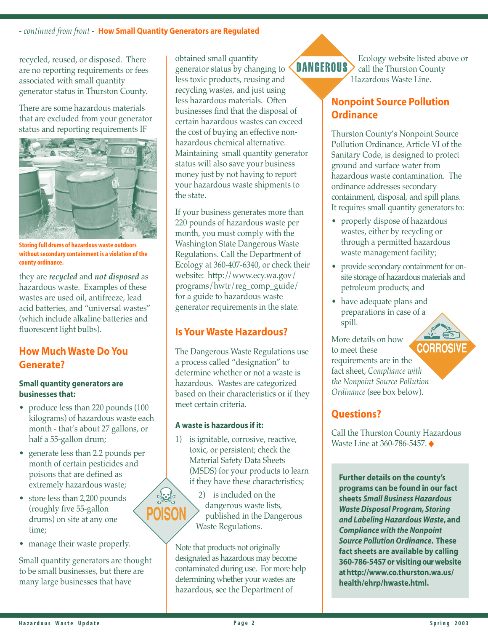recycled, reused, or disposed. There are no reporting requirements or fees associated with small quantity generator status in Thurston County.

There are some hazardous materials that are excluded from your generator status and reporting requirements IF



**Storing full drums of hazardous waste outdoors without secondary containment is a violation of the county ordinance.**

they are *recycled* and *not disposed* as hazardous waste. Examples of these wastes are used oil, antifreeze, lead acid batteries, and "universal wastes" (which include alkaline batteries and fluorescent light bulbs).

## **How Much Waste Do You Generate?**

#### **Small quantity generators are businesses that:**

- produce less than 220 pounds (100 kilograms) of hazardous waste each month - that's about 27 gallons, or half a 55-gallon drum;
- generate less than 2.2 pounds per month of certain pesticides and poisons that are defined as extremely hazardous waste;
- store less than 2,200 pounds (roughly five 55-gallon drums) on site at any one time;
- manage their waste properly.

Small quantity generators are thought to be small businesses, but there are many large businesses that have

obtained small quantity **DANGEROUS** generator status by changing to less toxic products, reusing and recycling wastes, and just using less hazardous materials. Often businesses find that the disposal of certain hazardous wastes can exceed the cost of buying an effective nonhazardous chemical alternative. Maintaining small quantity generator status will also save your business money just by not having to report your hazardous waste shipments to the state.

If your business generates more than 220 pounds of hazardous waste per month, you must comply with the Washington State Dangerous Waste Regulations. Call the Department of Ecology at 360-407-6340, or check their website: http://www.ecy.wa.gov/ programs/hwtr/reg\_comp\_guide/ for a guide to hazardous waste generator requirements in the state.

## **Is Your Waste Hazardous?**

The Dangerous Waste Regulations use a process called "designation" to determine whether or not a waste is hazardous. Wastes are categorized based on their characteristics or if they meet certain criteria.

#### **A waste is hazardous if it:**

 $\frac{1}{2}$ 

1) is ignitable, corrosive, reactive, toxic, or persistent; check the Material Safety Data Sheets (MSDS) for your products to learn if they have these characteristics;

> 2) is included on the dangerous waste lists, published in the Dangerous Waste Regulations.

Note that products not originally designated as hazardous may become contaminated during use. For more help determining whether your wastes are hazardous, see the Department of

Ecology website listed above or call the Thurston County Hazardous Waste Line.

### **Nonpoint Source Pollution Ordinance**

Thurston County's Nonpoint Source Pollution Ordinance, Article VI of the Sanitary Code, is designed to protect ground and surface water from hazardous waste contamination. The ordinance addresses secondary containment, disposal, and spill plans. It requires small quantity generators to:

- properly dispose of hazardous wastes, either by recycling or through a permitted hazardous waste management facility;
- provide secondary containment for onsite storage of hazardous materials and petroleum products; and
- have adequate plans and preparations in case of a spill.

More details on how **CORROSIV** to meet these requirements are in the fact sheet, *Compliance with the Nonpoint Source Pollution Ordinance* (see box below).

## **Questions?**

Call the Thurston County Hazardous Waste Line at 360-786-5457. ◆

**Further details on the county's programs can be found in our fact sheets** *Small Business Hazardous Waste Disposal Program, Storing and Labeling Hazardous Waste***, and** *Compliance with the Nonpoint Source Pollution Ordinance***. These fact sheets are available by calling 360-786-5457 or visiting our website at http://www.co.thurston.wa.us/ health/ehrp/hwaste.html.**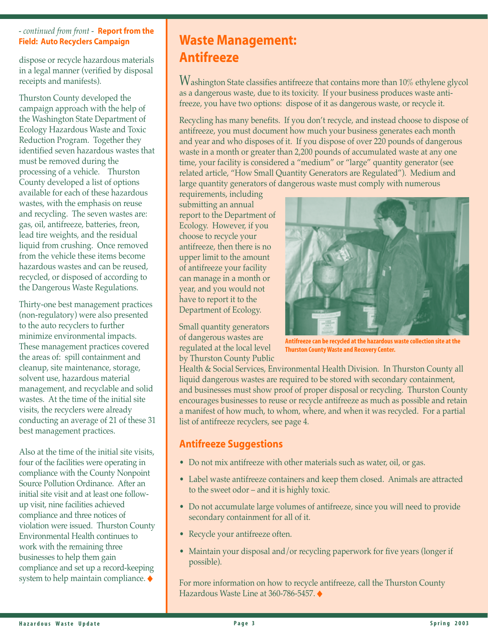#### *- continued from front -* **Report from the Field: Auto Recyclers Campaign**

dispose or recycle hazardous materials in a legal manner (verified by disposal receipts and manifests).

Thurston County developed the campaign approach with the help of the Washington State Department of Ecology Hazardous Waste and Toxic Reduction Program. Together they identified seven hazardous wastes that must be removed during the processing of a vehicle. Thurston County developed a list of options available for each of these hazardous wastes, with the emphasis on reuse and recycling. The seven wastes are: gas, oil, antifreeze, batteries, freon, lead tire weights, and the residual liquid from crushing. Once removed from the vehicle these items become hazardous wastes and can be reused, recycled, or disposed of according to the Dangerous Waste Regulations.

Thirty-one best management practices (non-regulatory) were also presented to the auto recyclers to further minimize environmental impacts. These management practices covered the areas of: spill containment and cleanup, site maintenance, storage, solvent use, hazardous material management, and recyclable and solid wastes. At the time of the initial site visits, the recyclers were already conducting an average of 21 of these 31 best management practices.

Also at the time of the initial site visits, four of the facilities were operating in compliance with the County Nonpoint Source Pollution Ordinance. After an initial site visit and at least one followup visit, nine facilities achieved compliance and three notices of violation were issued. Thurston County Environmental Health continues to work with the remaining three businesses to help them gain compliance and set up a record-keeping system to help maintain compliance. ◆

# **Waste Management: Antifreeze**

Washington State classifies antifreeze that contains more than 10% ethylene glycol as a dangerous waste, due to its toxicity. If your business produces waste antifreeze, you have two options: dispose of it as dangerous waste, or recycle it.

Recycling has many benefits. If you don't recycle, and instead choose to dispose of antifreeze, you must document how much your business generates each month and year and who disposes of it. If you dispose of over 220 pounds of dangerous waste in a month or greater than 2,200 pounds of accumulated waste at any one time, your facility is considered a "medium" or "large" quantity generator (see related article, "How Small Quantity Generators are Regulated"). Medium and large quantity generators of dangerous waste must comply with numerous

requirements, including submitting an annual report to the Department of Ecology. However, if you choose to recycle your antifreeze, then there is no upper limit to the amount of antifreeze your facility can manage in a month or year, and you would not have to report it to the Department of Ecology.

Small quantity generators of dangerous wastes are regulated at the local level by Thurston County Public



**Antifreeze can be recycled at the hazardous waste collection site at the Thurston County Waste and Recovery Center.**

Health & Social Services, Environmental Health Division. In Thurston County all liquid dangerous wastes are required to be stored with secondary containment, and businesses must show proof of proper disposal or recycling. Thurston County encourages businesses to reuse or recycle antifreeze as much as possible and retain a manifest of how much, to whom, where, and when it was recycled. For a partial list of antifreeze recyclers, see page 4.

## **Antifreeze Suggestions**

- Do not mix antifreeze with other materials such as water, oil, or gas.
- Label waste antifreeze containers and keep them closed. Animals are attracted to the sweet odor – and it is highly toxic.
- Do not accumulate large volumes of antifreeze, since you will need to provide secondary containment for all of it.
- Recycle your antifreeze often.
- Maintain your disposal and/or recycling paperwork for five years (longer if possible).

For more information on how to recycle antifreeze, call the Thurston County Hazardous Waste Line at 360-786-5457. ◆